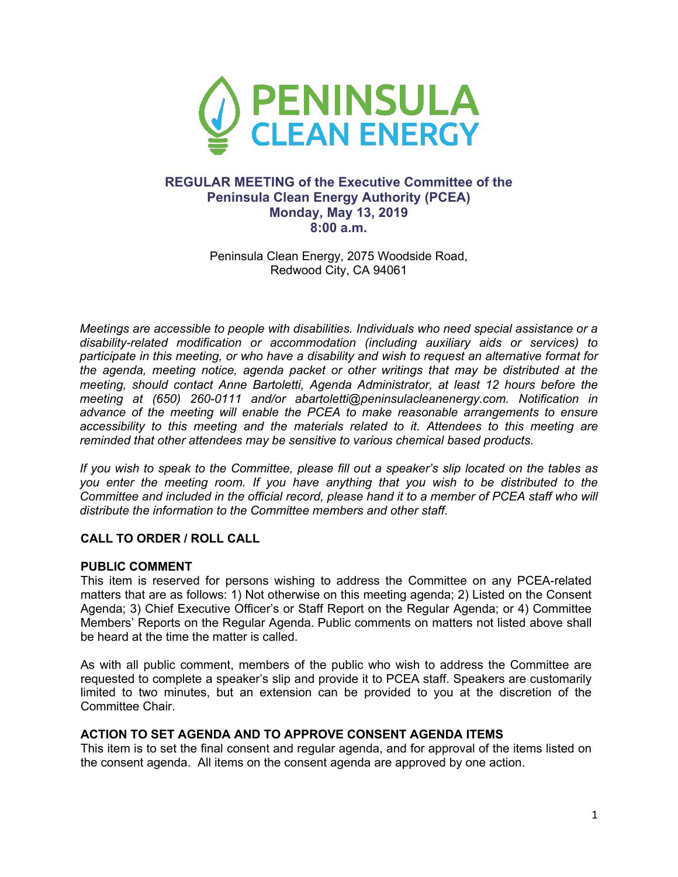

# **REGULAR MEETING of the Executive Committee of the Peninsula Clean Energy Authority (PCEA) Monday, May 13, 2019 8:00 a.m.**

Peninsula Clean Energy, 2075 Woodside Road, Redwood City, CA 94061

*Meetings are accessible to people with disabilities. Individuals who need special assistance or a disability-related modification or accommodation (including auxiliary aids or services) to participate in this meeting, or who have a disability and wish to request an alternative format for the agenda, meeting notice, agenda packet or other writings that may be distributed at the meeting, should contact Anne Bartoletti, Agenda Administrator, at least 12 hours before the meeting at (650) 260-0111 and/or abartoletti@peninsulacleanenergy.com. Notification in advance of the meeting will enable the PCEA to make reasonable arrangements to ensure accessibility to this meeting and the materials related to it. Attendees to this meeting are reminded that other attendees may be sensitive to various chemical based products.*

*If you wish to speak to the Committee, please fill out a speaker's slip located on the tables as you enter the meeting room. If you have anything that you wish to be distributed to the Committee and included in the official record, please hand it to a member of PCEA staff who will distribute the information to the Committee members and other staff.*

# **CALL TO ORDER / ROLL CALL**

# **PUBLIC COMMENT**

This item is reserved for persons wishing to address the Committee on any PCEA-related matters that are as follows: 1) Not otherwise on this meeting agenda; 2) Listed on the Consent Agenda; 3) Chief Executive Officer's or Staff Report on the Regular Agenda; or 4) Committee Members' Reports on the Regular Agenda. Public comments on matters not listed above shall be heard at the time the matter is called.

As with all public comment, members of the public who wish to address the Committee are requested to complete a speaker's slip and provide it to PCEA staff. Speakers are customarily limited to two minutes, but an extension can be provided to you at the discretion of the Committee Chair.

# **ACTION TO SET AGENDA AND TO APPROVE CONSENT AGENDA ITEMS**

This item is to set the final consent and regular agenda, and for approval of the items listed on the consent agenda. All items on the consent agenda are approved by one action.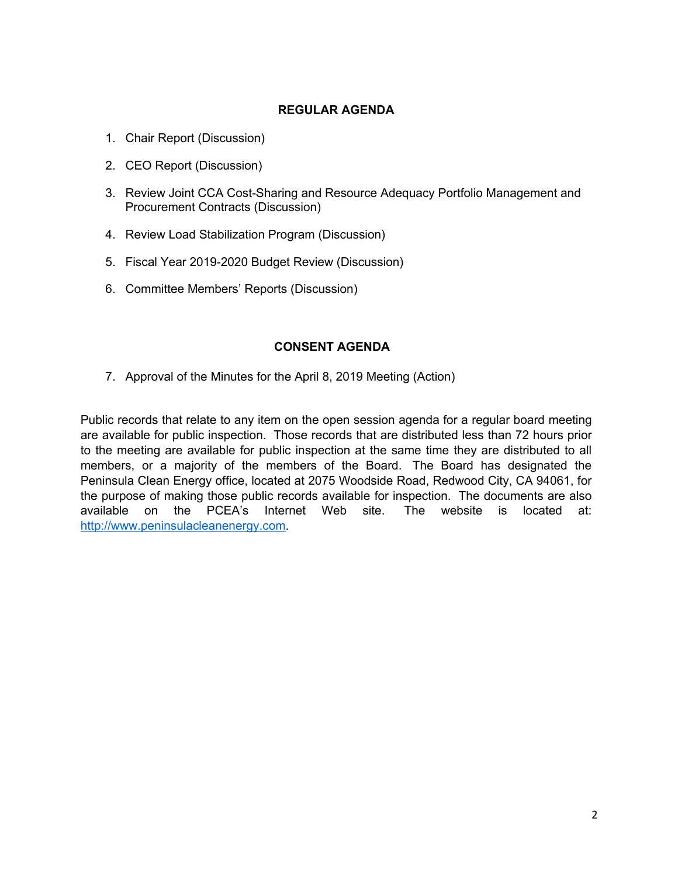# **REGULAR AGENDA**

- 1. Chair Report (Discussion)
- 2. CEO Report (Discussion)
- 3. Review Joint CCA Cost-Sharing and Resource Adequacy Portfolio Management and Procurement Contracts (Discussion)
- 4. Review Load Stabilization Program (Discussion)
- 5. Fiscal Year 2019-2020 Budget Review (Discussion)
- 6. Committee Members' Reports (Discussion)

# **CONSENT AGENDA**

7. Approval of the Minutes for the April 8, 2019 Meeting (Action)

Public records that relate to any item on the open session agenda for a regular board meeting are available for public inspection. Those records that are distributed less than 72 hours prior to the meeting are available for public inspection at the same time they are distributed to all members, or a majority of the members of the Board. The Board has designated the Peninsula Clean Energy office, located at 2075 Woodside Road, Redwood City, CA 94061, for the purpose of making those public records available for inspection. The documents are also available on the PCEA's Internet Web site. The website is located at: http://www.peninsulacleanenergy.com.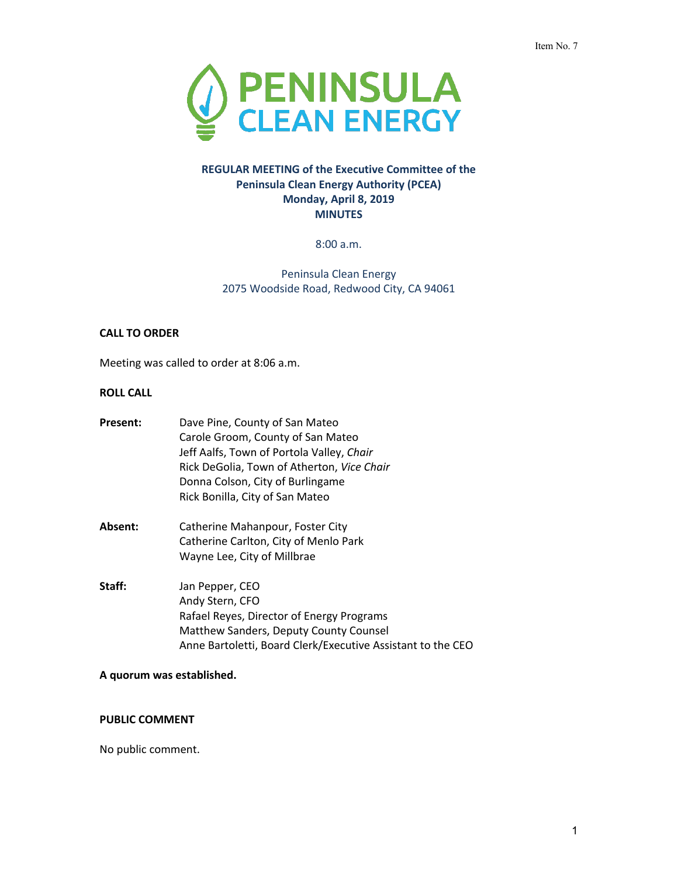

### **REGULAR MEETING of the Executive Committee of the Peninsula Clean Energy Authority (PCEA) Monday, April 8, 2019 MINUTES**

8:00 a.m.

Peninsula Clean Energy 2075 Woodside Road, Redwood City, CA 94061

#### **CALL TO ORDER**

Meeting was called to order at 8:06 a.m.

### **ROLL CALL**

| Present: | Dave Pine, County of San Mateo<br>Carole Groom, County of San Mateo<br>Jeff Aalfs, Town of Portola Valley, Chair<br>Rick DeGolia, Town of Atherton, Vice Chair<br>Donna Colson, City of Burlingame<br>Rick Bonilla, City of San Mateo |
|----------|---------------------------------------------------------------------------------------------------------------------------------------------------------------------------------------------------------------------------------------|
| Absent:  | Catherine Mahanpour, Foster City<br>Catherine Carlton, City of Menlo Park<br>Wayne Lee, City of Millbrae                                                                                                                              |
| Staff:   | Jan Pepper, CEO<br>Andy Stern, CFO<br>Rafael Reyes, Director of Energy Programs<br>Matthew Sanders, Deputy County Counsel<br>Anne Bartoletti, Board Clerk/Executive Assistant to the CEO                                              |

### **A quorum was established.**

# **PUBLIC COMMENT**

No public comment.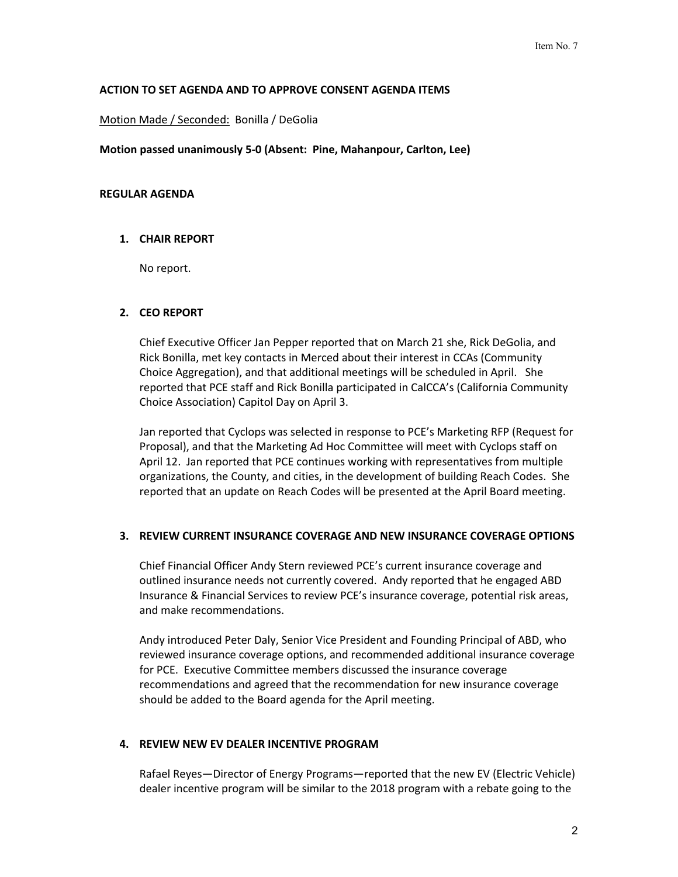### **ACTION TO SET AGENDA AND TO APPROVE CONSENT AGENDA ITEMS**

Motion Made / Seconded: Bonilla / DeGolia

**Motion passed unanimously 5-0 (Absent: Pine, Mahanpour, Carlton, Lee)**

#### **REGULAR AGENDA**

### **1. CHAIR REPORT**

No report.

### **2. CEO REPORT**

Chief Executive Officer Jan Pepper reported that on March 21 she, Rick DeGolia, and Rick Bonilla, met key contacts in Merced about their interest in CCAs (Community Choice Aggregation), and that additional meetings will be scheduled in April. She reported that PCE staff and Rick Bonilla participated in CalCCA's (California Community Choice Association) Capitol Day on April 3.

Jan reported that Cyclops was selected in response to PCE's Marketing RFP (Request for Proposal), and that the Marketing Ad Hoc Committee will meet with Cyclops staff on April 12. Jan reported that PCE continues working with representatives from multiple organizations, the County, and cities, in the development of building Reach Codes. She reported that an update on Reach Codes will be presented at the April Board meeting.

#### **3. REVIEW CURRENT INSURANCE COVERAGE AND NEW INSURANCE COVERAGE OPTIONS**

Chief Financial Officer Andy Stern reviewed PCE's current insurance coverage and outlined insurance needs not currently covered. Andy reported that he engaged ABD Insurance & Financial Services to review PCE's insurance coverage, potential risk areas, and make recommendations.

Andy introduced Peter Daly, Senior Vice President and Founding Principal of ABD, who reviewed insurance coverage options, and recommended additional insurance coverage for PCE. Executive Committee members discussed the insurance coverage recommendations and agreed that the recommendation for new insurance coverage should be added to the Board agenda for the April meeting.

#### **4. REVIEW NEW EV DEALER INCENTIVE PROGRAM**

Rafael Reyes—Director of Energy Programs—reported that the new EV (Electric Vehicle) dealer incentive program will be similar to the 2018 program with a rebate going to the